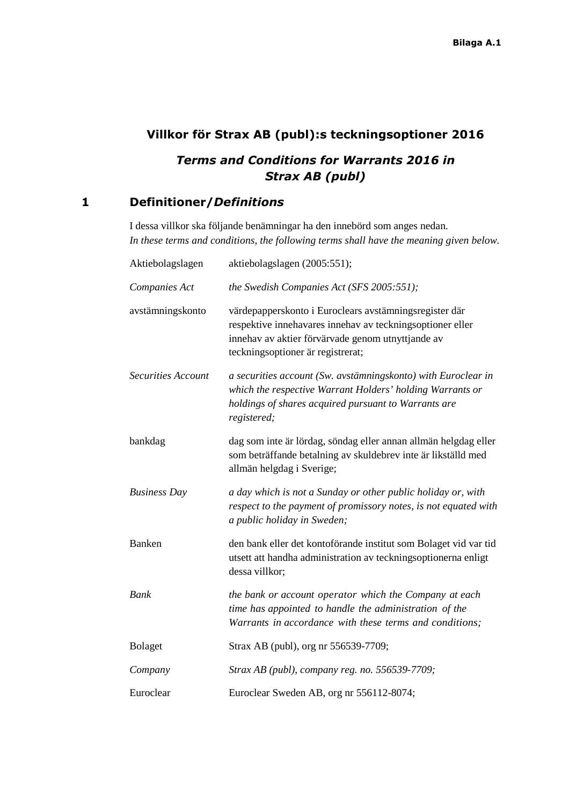## **Villkor för Strax AB (publ):s teckningsoptioner 2016**

## *Terms and Conditions for Warrants 2016 in Strax AB (publ)*

## **1 Definitioner/***Definitions*

I dessa villkor ska följande benämningar ha den innebörd som anges nedan. *In these terms and conditions, the following terms shall have the meaning given below.*

| Aktiebolagslagen          | aktiebolagslagen (2005:551);                                                                                                                                                                                  |
|---------------------------|---------------------------------------------------------------------------------------------------------------------------------------------------------------------------------------------------------------|
| Companies Act             | the Swedish Companies Act (SFS 2005:551);                                                                                                                                                                     |
| avstämningskonto          | värdepapperskonto i Euroclears avstämningsregister där<br>respektive innehavares innehav av teckningsoptioner eller<br>innehav av aktier förvärvade genom utnyttjande av<br>teckningsoptioner är registrerat; |
| <b>Securities Account</b> | a securities account (Sw. avstämningskonto) with Euroclear in<br>which the respective Warrant Holders' holding Warrants or<br>holdings of shares acquired pursuant to Warrants are<br>registered;             |
| bankdag                   | dag som inte är lördag, söndag eller annan allmän helgdag eller<br>som beträffande betalning av skuldebrev inte är likställd med<br>allmän helgdag i Sverige;                                                 |
| <b>Business Day</b>       | a day which is not a Sunday or other public holiday or, with<br>respect to the payment of promissory notes, is not equated with<br>a public holiday in Sweden;                                                |
| <b>Banken</b>             | den bank eller det kontoförande institut som Bolaget vid var tid<br>utsett att handha administration av teckningsoptionerna enligt<br>dessa villkor;                                                          |
| Bank                      | the bank or account operator which the Company at each<br>time has appointed to handle the administration of the<br>Warrants in accordance with these terms and conditions;                                   |
| Bolaget                   | Strax AB (publ), org nr 556539-7709;                                                                                                                                                                          |
| Company                   | Strax AB (publ), company reg. no. 556539-7709;                                                                                                                                                                |
| Euroclear                 | Euroclear Sweden AB, org nr 556112-8074;                                                                                                                                                                      |
|                           |                                                                                                                                                                                                               |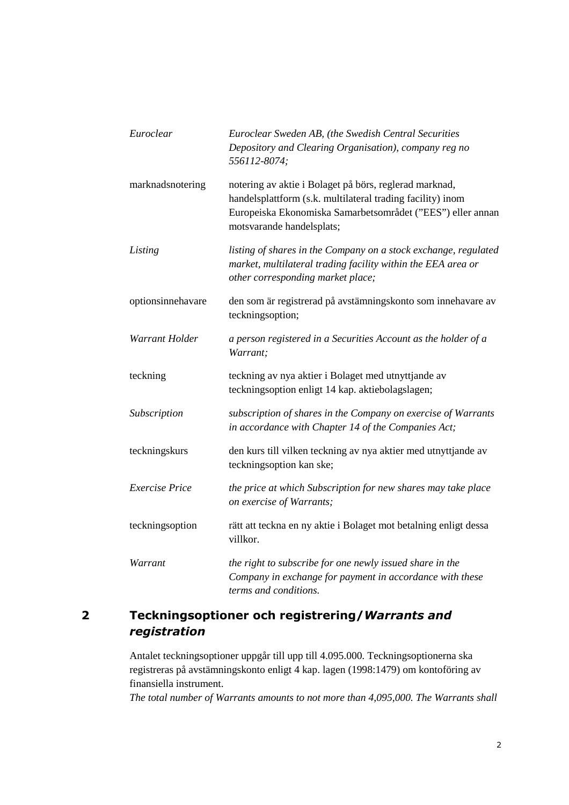| Euroclear             | Euroclear Sweden AB, (the Swedish Central Securities<br>Depository and Clearing Organisation), company reg no<br>556112-8074;                                                                                   |
|-----------------------|-----------------------------------------------------------------------------------------------------------------------------------------------------------------------------------------------------------------|
| marknadsnotering      | notering av aktie i Bolaget på börs, reglerad marknad,<br>handelsplattform (s.k. multilateral trading facility) inom<br>Europeiska Ekonomiska Samarbetsområdet ("EES") eller annan<br>motsvarande handelsplats; |
| Listing               | listing of shares in the Company on a stock exchange, regulated<br>market, multilateral trading facility within the EEA area or<br>other corresponding market place;                                            |
| optionsinnehavare     | den som är registrerad på avstämningskonto som innehavare av<br>teckningsoption;                                                                                                                                |
| Warrant Holder        | a person registered in a Securities Account as the holder of a<br>Warrant;                                                                                                                                      |
| teckning              | teckning av nya aktier i Bolaget med utnyttjande av<br>teckningsoption enligt 14 kap. aktiebolagslagen;                                                                                                         |
| Subscription          | subscription of shares in the Company on exercise of Warrants<br>in accordance with Chapter 14 of the Companies Act;                                                                                            |
| teckningskurs         | den kurs till vilken teckning av nya aktier med utnyttjande av<br>teckningsoption kan ske;                                                                                                                      |
| <b>Exercise Price</b> | the price at which Subscription for new shares may take place<br>on exercise of Warrants;                                                                                                                       |
| teckningsoption       | rätt att teckna en ny aktie i Bolaget mot betalning enligt dessa<br>villkor.                                                                                                                                    |
| Warrant               | the right to subscribe for one newly issued share in the<br>Company in exchange for payment in accordance with these<br>terms and conditions.                                                                   |

# **2 Teckningsoptioner och registrering/***Warrants and registration*

Antalet teckningsoptioner uppgår till upp till 4.095.000. Teckningsoptionerna ska registreras på avstämningskonto enligt 4 kap. lagen (1998:1479) om kontoföring av finansiella instrument.

*The total number of Warrants amounts to not more than 4,095,000. The Warrants shall*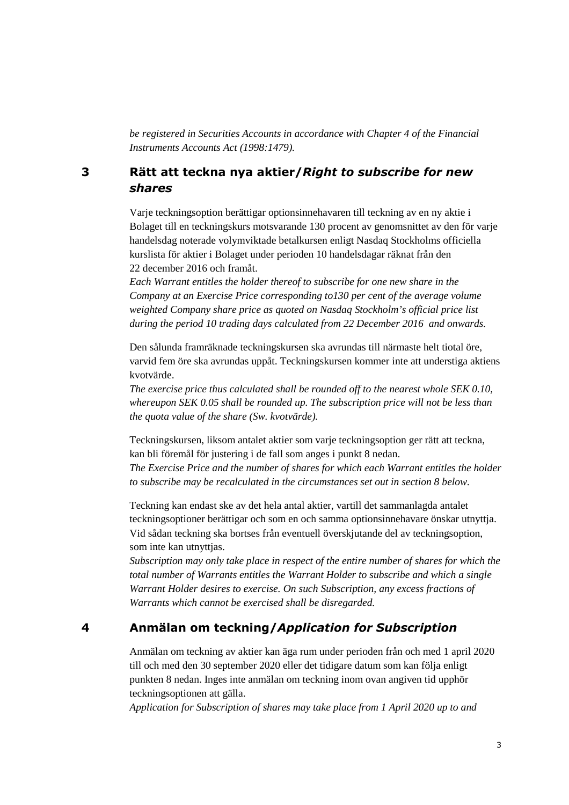*be registered in Securities Accounts in accordance with Chapter 4 of the Financial Instruments Accounts Act (1998:1479).*

#### **3 Rätt att teckna nya aktier/***Right to subscribe for new shares*

Varje teckningsoption berättigar optionsinnehavaren till teckning av en ny aktie i Bolaget till en teckningskurs motsvarande 130 procent av genomsnittet av den för varje handelsdag noterade volymviktade betalkursen enligt Nasdaq Stockholms officiella

kurslista för aktier i Bolaget under perioden 10 handelsdagar räknat från den 22 december 2016 och framåt.

*Each Warrant entitles the holder thereof to subscribe for one new share in the Company at an Exercise Price corresponding to130 per cent of the average volume weighted Company share price as quoted on Nasdaq Stockholm's official price list during the period 10 trading days calculated from 22 December 2016 and onwards.*

Den sålunda framräknade teckningskursen ska avrundas till närmaste helt tiotal öre, varvid fem öre ska avrundas uppåt. Teckningskursen kommer inte att understiga aktiens kvotvärde.

*The exercise price thus calculated shall be rounded off to the nearest whole SEK 0.10, whereupon SEK 0.05 shall be rounded up. The subscription price will not be less than the quota value of the share (Sw. kvotvärde).*

Teckningskursen, liksom antalet aktier som varje teckningsoption ger rätt att teckna, kan bli föremål för justering i de fall som anges i punkt 8 nedan.

*The Exercise Price and the number of shares for which each Warrant entitles the holder to subscribe may be recalculated in the circumstances set out in section 8 below.* 

Teckning kan endast ske av det hela antal aktier, vartill det sammanlagda antalet teckningsoptioner berättigar och som en och samma optionsinnehavare önskar utnyttja. Vid sådan teckning ska bortses från eventuell överskjutande del av teckningsoption, som inte kan utnyttjas.

*Subscription may only take place in respect of the entire number of shares for which the total number of Warrants entitles the Warrant Holder to subscribe and which a single Warrant Holder desires to exercise. On such Subscription, any excess fractions of Warrants which cannot be exercised shall be disregarded.*

## **4 Anmälan om teckning/***Application for Subscription*

Anmälan om teckning av aktier kan äga rum under perioden från och med 1 april 2020 till och med den 30 september 2020 eller det tidigare datum som kan följa enligt punkten 8 nedan. Inges inte anmälan om teckning inom ovan angiven tid upphör teckningsoptionen att gälla.

*Application for Subscription of shares may take place from 1 April 2020 up to and*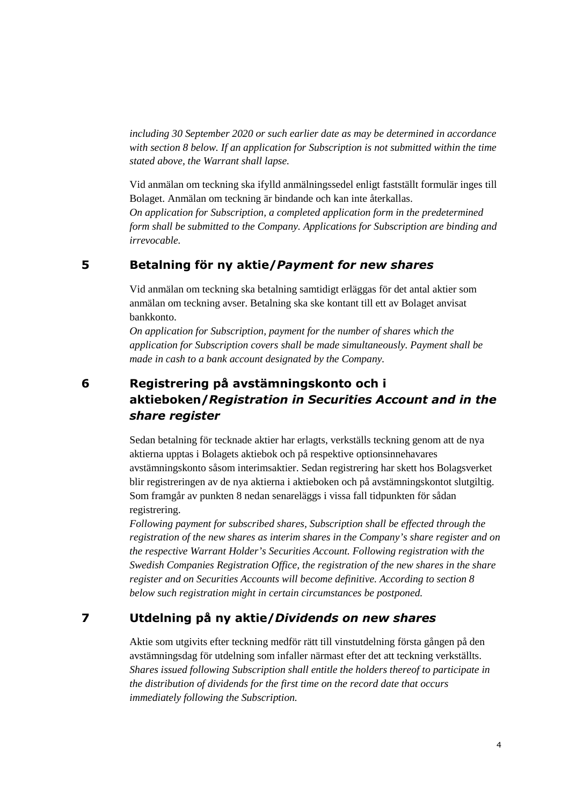*including 30 September 2020 or such earlier date as may be determined in accordance with section 8 below. If an application for Subscription is not submitted within the time stated above, the Warrant shall lapse.*

Vid anmälan om teckning ska ifylld anmälningssedel enligt fastställt formulär inges till Bolaget. Anmälan om teckning är bindande och kan inte återkallas. *On application for Subscription, a completed application form in the predetermined form shall be submitted to the Company. Applications for Subscription are binding and irrevocable.*

### **5 Betalning för ny aktie/***Payment for new shares*

Vid anmälan om teckning ska betalning samtidigt erläggas för det antal aktier som anmälan om teckning avser. Betalning ska ske kontant till ett av Bolaget anvisat bankkonto.

*On application for Subscription, payment for the number of shares which the application for Subscription covers shall be made simultaneously. Payment shall be made in cash to a bank account designated by the Company.*

## **6 Registrering på avstämningskonto och i aktieboken/***Registration in Securities Account and in the share register*

Sedan betalning för tecknade aktier har erlagts, verkställs teckning genom att de nya aktierna upptas i Bolagets aktiebok och på respektive optionsinnehavares avstämningskonto såsom interimsaktier. Sedan registrering har skett hos Bolagsverket blir registreringen av de nya aktierna i aktieboken och på avstämningskontot slutgiltig. Som framgår av punkten 8 nedan senareläggs i vissa fall tidpunkten för sådan registrering.

*Following payment for subscribed shares, Subscription shall be effected through the registration of the new shares as interim shares in the Company's share register and on the respective Warrant Holder's Securities Account. Following registration with the Swedish Companies Registration Office, the registration of the new shares in the share register and on Securities Accounts will become definitive. According to section 8 below such registration might in certain circumstances be postponed.*

## **7 Utdelning på ny aktie/***Dividends on new shares*

Aktie som utgivits efter teckning medför rätt till vinstutdelning första gången på den avstämningsdag för utdelning som infaller närmast efter det att teckning verkställts. *Shares issued following Subscription shall entitle the holders thereof to participate in the distribution of dividends for the first time on the record date that occurs immediately following the Subscription.*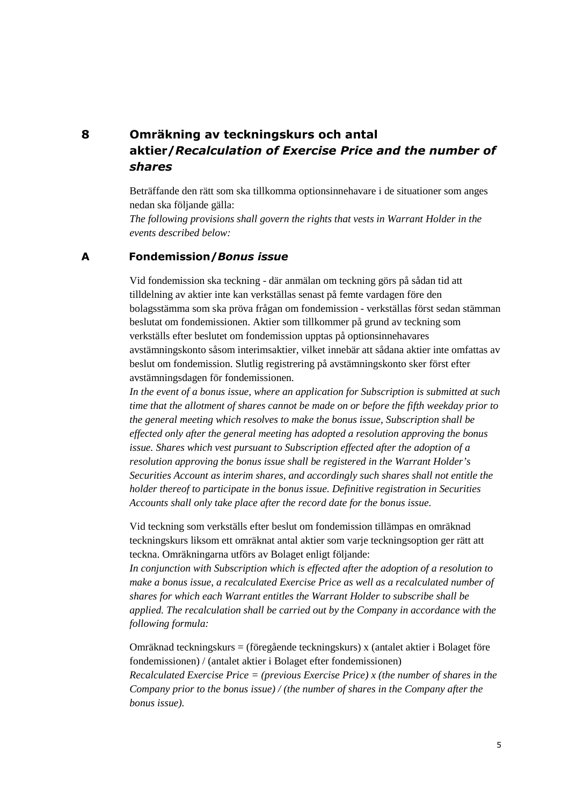## **8 Omräkning av teckningskurs och antal aktier/***Recalculation of Exercise Price and the number of shares*

Beträffande den rätt som ska tillkomma optionsinnehavare i de situationer som anges nedan ska följande gälla:

*The following provisions shall govern the rights that vests in Warrant Holder in the events described below:*

#### **A Fondemission/***Bonus issue*

Vid fondemission ska teckning - där anmälan om teckning görs på sådan tid att tilldelning av aktier inte kan verkställas senast på femte vardagen före den bolagsstämma som ska pröva frågan om fondemission - verkställas först sedan stämman beslutat om fondemissionen. Aktier som tillkommer på grund av teckning som verkställs efter beslutet om fondemission upptas på optionsinnehavares avstämningskonto såsom interimsaktier, vilket innebär att sådana aktier inte omfattas av beslut om fondemission. Slutlig registrering på avstämningskonto sker först efter avstämningsdagen för fondemissionen.

*In the event of a bonus issue, where an application for Subscription is submitted at such time that the allotment of shares cannot be made on or before the fifth weekday prior to the general meeting which resolves to make the bonus issue, Subscription shall be effected only after the general meeting has adopted a resolution approving the bonus issue. Shares which vest pursuant to Subscription effected after the adoption of a resolution approving the bonus issue shall be registered in the Warrant Holder's Securities Account as interim shares, and accordingly such shares shall not entitle the holder thereof to participate in the bonus issue. Definitive registration in Securities Accounts shall only take place after the record date for the bonus issue.*

Vid teckning som verkställs efter beslut om fondemission tillämpas en omräknad teckningskurs liksom ett omräknat antal aktier som varje teckningsoption ger rätt att teckna. Omräkningarna utförs av Bolaget enligt följande:

*In conjunction with Subscription which is effected after the adoption of a resolution to make a bonus issue, a recalculated Exercise Price as well as a recalculated number of shares for which each Warrant entitles the Warrant Holder to subscribe shall be applied. The recalculation shall be carried out by the Company in accordance with the following formula:*

Omräknad teckningskurs = (föregående teckningskurs) x (antalet aktier i Bolaget före fondemissionen) / (antalet aktier i Bolaget efter fondemissionen) *Recalculated Exercise Price = (previous Exercise Price) x (the number of shares in the Company prior to the bonus issue) / (the number of shares in the Company after the bonus issue).*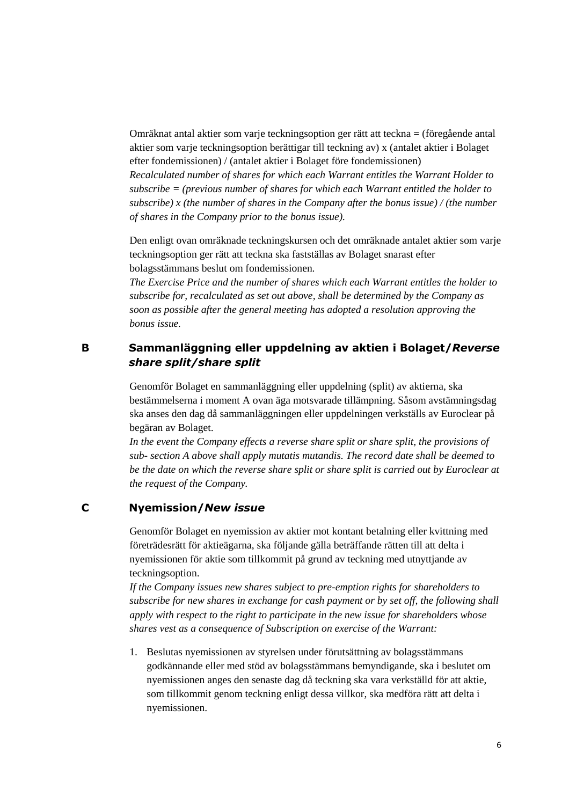Omräknat antal aktier som varje teckningsoption ger rätt att teckna = (föregående antal aktier som varje teckningsoption berättigar till teckning av) x (antalet aktier i Bolaget efter fondemissionen) / (antalet aktier i Bolaget före fondemissionen)

*Recalculated number of shares for which each Warrant entitles the Warrant Holder to subscribe = (previous number of shares for which each Warrant entitled the holder to subscribe) x (the number of shares in the Company after the bonus issue) / (the number of shares in the Company prior to the bonus issue).*

Den enligt ovan omräknade teckningskursen och det omräknade antalet aktier som varje teckningsoption ger rätt att teckna ska fastställas av Bolaget snarast efter bolagsstämmans beslut om fondemissionen.

*The Exercise Price and the number of shares which each Warrant entitles the holder to subscribe for, recalculated as set out above, shall be determined by the Company as soon as possible after the general meeting has adopted a resolution approving the bonus issue.*

### **B Sammanläggning eller uppdelning av aktien i Bolaget/***Reverse share split/share split*

Genomför Bolaget en sammanläggning eller uppdelning (split) av aktierna, ska bestämmelserna i moment A ovan äga motsvarade tillämpning. Såsom avstämningsdag ska anses den dag då sammanläggningen eller uppdelningen verkställs av Euroclear på begäran av Bolaget.

*In the event the Company effects a reverse share split or share split, the provisions of sub- section A above shall apply mutatis mutandis. The record date shall be deemed to be the date on which the reverse share split or share split is carried out by Euroclear at the request of the Company.*

#### **C Nyemission/***New issue*

Genomför Bolaget en nyemission av aktier mot kontant betalning eller kvittning med företrädesrätt för aktieägarna, ska följande gälla beträffande rätten till att delta i nyemissionen för aktie som tillkommit på grund av teckning med utnyttjande av teckningsoption.

*If the Company issues new shares subject to pre-emption rights for shareholders to subscribe for new shares in exchange for cash payment or by set off, the following shall apply with respect to the right to participate in the new issue for shareholders whose shares vest as a consequence of Subscription on exercise of the Warrant:*

1. Beslutas nyemissionen av styrelsen under förutsättning av bolagsstämmans godkännande eller med stöd av bolagsstämmans bemyndigande, ska i beslutet om nyemissionen anges den senaste dag då teckning ska vara verkställd för att aktie, som tillkommit genom teckning enligt dessa villkor, ska medföra rätt att delta i nyemissionen.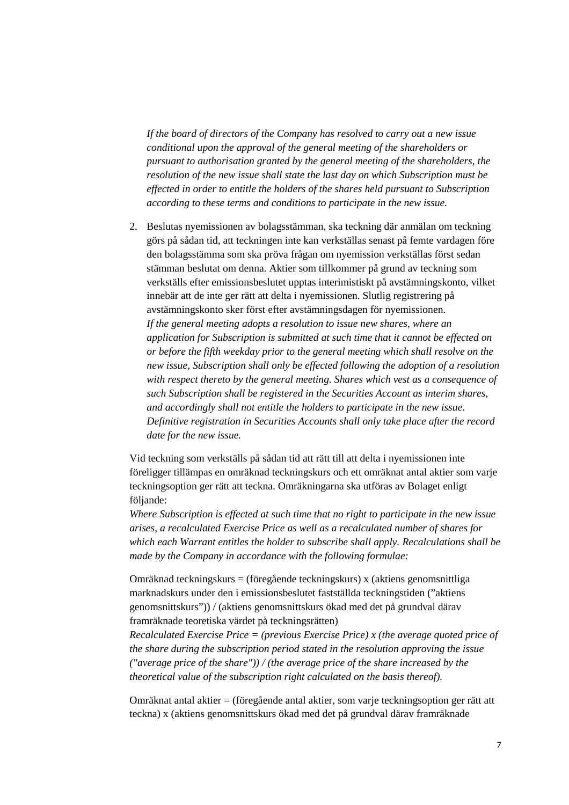*If the board of directors of the Company has resolved to carry out a new issue conditional upon the approval of the general meeting of the shareholders or pursuant to authorisation granted by the general meeting of the shareholders, the resolution of the new issue shall state the last day on which Subscription must be effected in order to entitle the holders of the shares held pursuant to Subscription according to these terms and conditions to participate in the new issue.*

2. Beslutas nyemissionen av bolagsstämman, ska teckning där anmälan om teckning görs på sådan tid, att teckningen inte kan verkställas senast på femte vardagen före den bolagsstämma som ska pröva frågan om nyemission verkställas först sedan stämman beslutat om denna. Aktier som tillkommer på grund av teckning som verkställs efter emissionsbeslutet upptas interimistiskt på avstämningskonto, vilket innebär att de inte ger rätt att delta i nyemissionen. Slutlig registrering på avstämningskonto sker först efter avstämningsdagen för nyemissionen. *If the general meeting adopts a resolution to issue new shares, where an application for Subscription is submitted at such time that it cannot be effected on or before the fifth weekday prior to the general meeting which shall resolve on the new issue, Subscription shall only be effected following the adoption of a resolution with respect thereto by the general meeting. Shares which vest as a consequence of such Subscription shall be registered in the Securities Account as interim shares, and accordingly shall not entitle the holders to participate in the new issue. Definitive registration in Securities Accounts shall only take place after the record date for the new issue.*

Vid teckning som verkställs på sådan tid att rätt till att delta i nyemissionen inte föreligger tillämpas en omräknad teckningskurs och ett omräknat antal aktier som varje teckningsoption ger rätt att teckna. Omräkningarna ska utföras av Bolaget enligt följande:

*Where Subscription is effected at such time that no right to participate in the new issue arises, a recalculated Exercise Price as well as a recalculated number of shares for which each Warrant entitles the holder to subscribe shall apply. Recalculations shall be made by the Company in accordance with the following formulae:*

Omräknad teckningskurs = (föregående teckningskurs) x (aktiens genomsnittliga marknadskurs under den i emissionsbeslutet fastställda teckningstiden ("aktiens genomsnittskurs")) / (aktiens genomsnittskurs ökad med det på grundval därav framräknade teoretiska värdet på teckningsrätten)

*Recalculated Exercise Price = (previous Exercise Price) x (the average quoted price of the share during the subscription period stated in the resolution approving the issue ("average price of the share")) / (the average price of the share increased by the theoretical value of the subscription right calculated on the basis thereof).*

Omräknat antal aktier = (föregående antal aktier, som varje teckningsoption ger rätt att teckna) x (aktiens genomsnittskurs ökad med det på grundval därav framräknade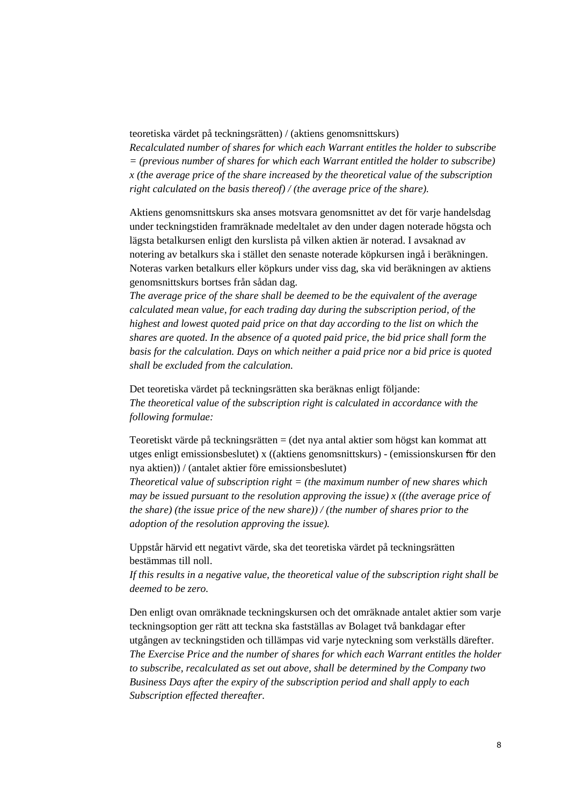teoretiska värdet på teckningsrätten) / (aktiens genomsnittskurs)

*Recalculated number of shares for which each Warrant entitles the holder to subscribe = (previous number of shares for which each Warrant entitled the holder to subscribe) x (the average price of the share increased by the theoretical value of the subscription right calculated on the basis thereof) / (the average price of the share).*

Aktiens genomsnittskurs ska anses motsvara genomsnittet av det för varje handelsdag under teckningstiden framräknade medeltalet av den under dagen noterade högsta och lägsta betalkursen enligt den kurslista på vilken aktien är noterad. I avsaknad av notering av betalkurs ska i stället den senaste noterade köpkursen ingå i beräkningen. Noteras varken betalkurs eller köpkurs under viss dag, ska vid beräkningen av aktiens genomsnittskurs bortses från sådan dag.

*The average price of the share shall be deemed to be the equivalent of the average calculated mean value, for each trading day during the subscription period, of the highest and lowest quoted paid price on that day according to the list on which the shares are quoted. In the absence of a quoted paid price, the bid price shall form the basis for the calculation. Days on which neither a paid price nor a bid price is quoted shall be excluded from the calculation.*

Det teoretiska värdet på teckningsrätten ska beräknas enligt följande: *The theoretical value of the subscription right is calculated in accordance with the following formulae:*

Teoretiskt värde på teckningsrätten = (det nya antal aktier som högst kan kommat att utges enligt emissionsbeslutet) x ((aktiens genomsnittskurs) - (emissionskursen för den nya aktien)) / (antalet aktier före emissionsbeslutet)

*Theoretical value of subscription right = (the maximum number of new shares which may be issued pursuant to the resolution approving the issue) x ((the average price of the share) (the issue price of the new share)) / (the number of shares prior to the adoption of the resolution approving the issue).*

Uppstår härvid ett negativt värde, ska det teoretiska värdet på teckningsrätten bestämmas till noll.

*If this results in a negative value, the theoretical value of the subscription right shall be deemed to be zero.*

Den enligt ovan omräknade teckningskursen och det omräknade antalet aktier som varje teckningsoption ger rätt att teckna ska fastställas av Bolaget två bankdagar efter utgången av teckningstiden och tillämpas vid varje nyteckning som verkställs därefter. *The Exercise Price and the number of shares for which each Warrant entitles the holder to subscribe, recalculated as set out above, shall be determined by the Company two Business Days after the expiry of the subscription period and shall apply to each Subscription effected thereafter.*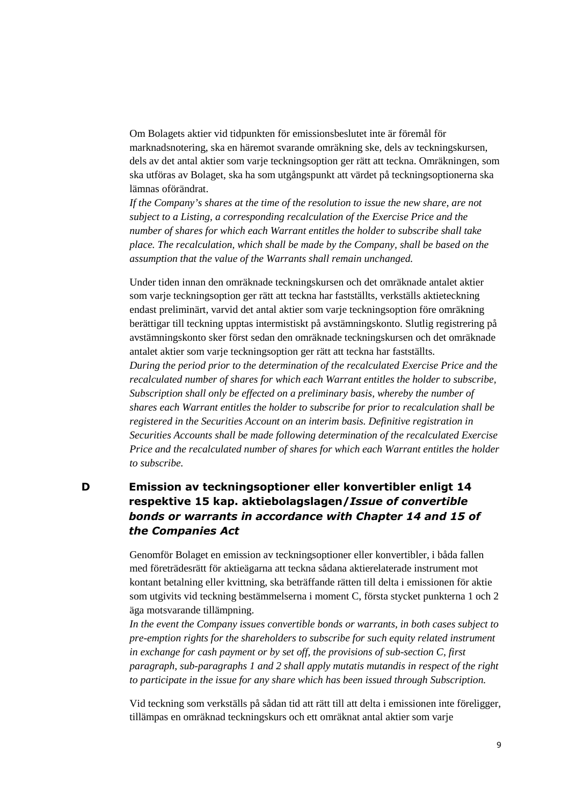Om Bolagets aktier vid tidpunkten för emissionsbeslutet inte är föremål för marknadsnotering, ska en häremot svarande omräkning ske, dels av teckningskursen, dels av det antal aktier som varje teckningsoption ger rätt att teckna. Omräkningen, som ska utföras av Bolaget, ska ha som utgångspunkt att värdet på teckningsoptionerna ska lämnas oförändrat.

*If the Company's shares at the time of the resolution to issue the new share, are not subject to a Listing, a corresponding recalculation of the Exercise Price and the number of shares for which each Warrant entitles the holder to subscribe shall take place. The recalculation, which shall be made by the Company, shall be based on the assumption that the value of the Warrants shall remain unchanged.*

Under tiden innan den omräknade teckningskursen och det omräknade antalet aktier som varje teckningsoption ger rätt att teckna har fastställts, verkställs aktieteckning endast preliminärt, varvid det antal aktier som varje teckningsoption före omräkning berättigar till teckning upptas intermistiskt på avstämningskonto. Slutlig registrering på avstämningskonto sker först sedan den omräknade teckningskursen och det omräknade antalet aktier som varje teckningsoption ger rätt att teckna har fastställts. *During the period prior to the determination of the recalculated Exercise Price and the recalculated number of shares for which each Warrant entitles the holder to subscribe, Subscription shall only be effected on a preliminary basis, whereby the number of shares each Warrant entitles the holder to subscribe for prior to recalculation shall be registered in the Securities Account on an interim basis. Definitive registration in Securities Accounts shall be made following determination of the recalculated Exercise Price and the recalculated number of shares for which each Warrant entitles the holder to subscribe.*

### **D Emission av teckningsoptioner eller konvertibler enligt 14 respektive 15 kap. aktiebolagslagen/***Issue of convertible bonds or warrants in accordance with Chapter 14 and 15 of the Companies Act*

Genomför Bolaget en emission av teckningsoptioner eller konvertibler, i båda fallen med företrädesrätt för aktieägarna att teckna sådana aktierelaterade instrument mot kontant betalning eller kvittning, ska beträffande rätten till delta i emissionen för aktie som utgivits vid teckning bestämmelserna i moment C, första stycket punkterna 1 och 2 äga motsvarande tillämpning.

*In the event the Company issues convertible bonds or warrants, in both cases subject to pre-emption rights for the shareholders to subscribe for such equity related instrument in exchange for cash payment or by set off, the provisions of sub-section C, first paragraph, sub-paragraphs 1 and 2 shall apply mutatis mutandis in respect of the right to participate in the issue for any share which has been issued through Subscription.*

Vid teckning som verkställs på sådan tid att rätt till att delta i emissionen inte föreligger, tillämpas en omräknad teckningskurs och ett omräknat antal aktier som varje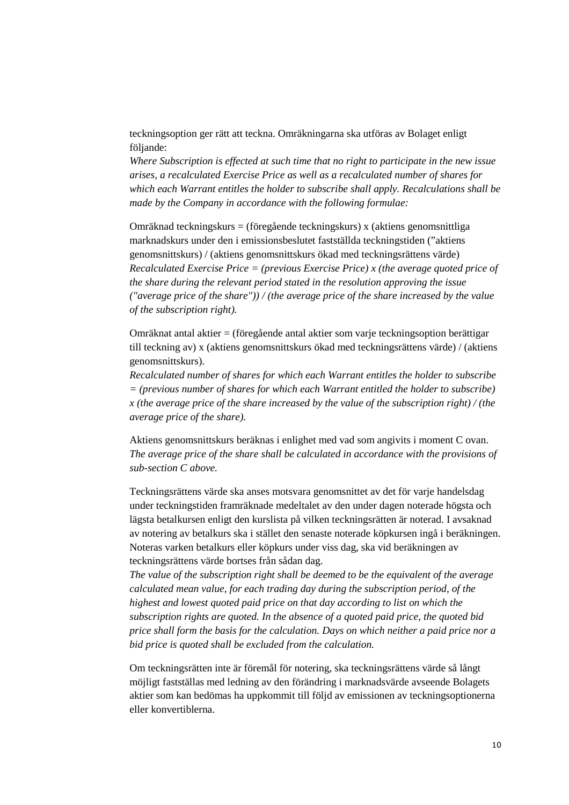teckningsoption ger rätt att teckna. Omräkningarna ska utföras av Bolaget enligt följande:

*Where Subscription is effected at such time that no right to participate in the new issue arises, a recalculated Exercise Price as well as a recalculated number of shares for which each Warrant entitles the holder to subscribe shall apply. Recalculations shall be made by the Company in accordance with the following formulae:*

Omräknad teckningskurs = (föregående teckningskurs) x (aktiens genomsnittliga marknadskurs under den i emissionsbeslutet fastställda teckningstiden ("aktiens genomsnittskurs) / (aktiens genomsnittskurs ökad med teckningsrättens värde) *Recalculated Exercise Price = (previous Exercise Price) x (the average quoted price of the share during the relevant period stated in the resolution approving the issue ("average price of the share")) / (the average price of the share increased by the value of the subscription right).*

Omräknat antal aktier = (föregående antal aktier som varje teckningsoption berättigar till teckning av) x (aktiens genomsnittskurs ökad med teckningsrättens värde) / (aktiens genomsnittskurs).

*Recalculated number of shares for which each Warrant entitles the holder to subscribe = (previous number of shares for which each Warrant entitled the holder to subscribe) x (the average price of the share increased by the value of the subscription right) / (the average price of the share).*

Aktiens genomsnittskurs beräknas i enlighet med vad som angivits i moment C ovan. *The average price of the share shall be calculated in accordance with the provisions of sub-section C above.*

Teckningsrättens värde ska anses motsvara genomsnittet av det för varje handelsdag under teckningstiden framräknade medeltalet av den under dagen noterade högsta och lägsta betalkursen enligt den kurslista på vilken teckningsrätten är noterad. I avsaknad av notering av betalkurs ska i stället den senaste noterade köpkursen ingå i beräkningen. Noteras varken betalkurs eller köpkurs under viss dag, ska vid beräkningen av teckningsrättens värde bortses från sådan dag.

*The value of the subscription right shall be deemed to be the equivalent of the average calculated mean value, for each trading day during the subscription period, of the highest and lowest quoted paid price on that day according to list on which the subscription rights are quoted. In the absence of a quoted paid price, the quoted bid price shall form the basis for the calculation. Days on which neither a paid price nor a bid price is quoted shall be excluded from the calculation.*

Om teckningsrätten inte är föremål för notering, ska teckningsrättens värde så långt möjligt fastställas med ledning av den förändring i marknadsvärde avseende Bolagets aktier som kan bedömas ha uppkommit till följd av emissionen av teckningsoptionerna eller konvertiblerna.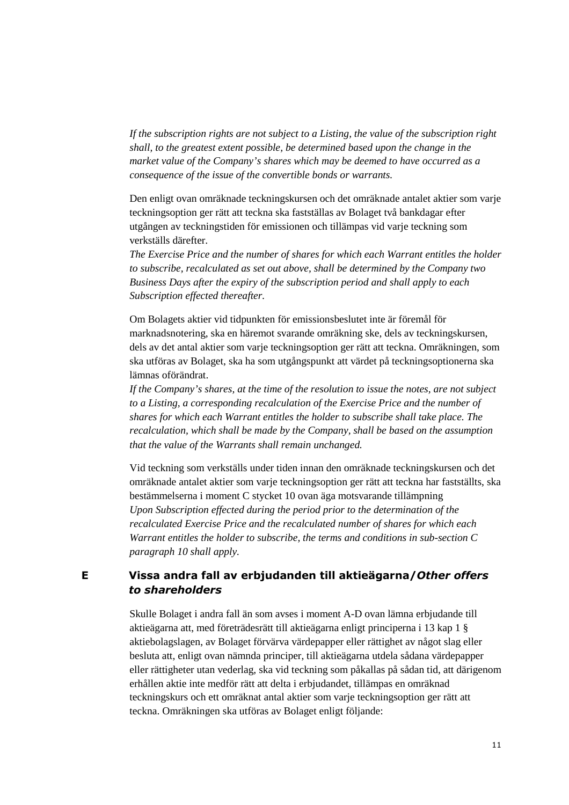*If the subscription rights are not subject to a Listing, the value of the subscription right shall, to the greatest extent possible, be determined based upon the change in the market value of the Company's shares which may be deemed to have occurred as a consequence of the issue of the convertible bonds or warrants.*

Den enligt ovan omräknade teckningskursen och det omräknade antalet aktier som varje teckningsoption ger rätt att teckna ska fastställas av Bolaget två bankdagar efter utgången av teckningstiden för emissionen och tillämpas vid varje teckning som verkställs därefter.

*The Exercise Price and the number of shares for which each Warrant entitles the holder to subscribe, recalculated as set out above, shall be determined by the Company two Business Days after the expiry of the subscription period and shall apply to each Subscription effected thereafter.*

Om Bolagets aktier vid tidpunkten för emissionsbeslutet inte är föremål för marknadsnotering, ska en häremot svarande omräkning ske, dels av teckningskursen, dels av det antal aktier som varje teckningsoption ger rätt att teckna. Omräkningen, som ska utföras av Bolaget, ska ha som utgångspunkt att värdet på teckningsoptionerna ska lämnas oförändrat.

*If the Company's shares, at the time of the resolution to issue the notes, are not subject to a Listing, a corresponding recalculation of the Exercise Price and the number of shares for which each Warrant entitles the holder to subscribe shall take place. The recalculation, which shall be made by the Company, shall be based on the assumption that the value of the Warrants shall remain unchanged.*

Vid teckning som verkställs under tiden innan den omräknade teckningskursen och det omräknade antalet aktier som varje teckningsoption ger rätt att teckna har fastställts, ska bestämmelserna i moment C stycket 10 ovan äga motsvarande tillämpning *Upon Subscription effected during the period prior to the determination of the recalculated Exercise Price and the recalculated number of shares for which each Warrant entitles the holder to subscribe, the terms and conditions in sub-section C paragraph 10 shall apply.*

### **E Vissa andra fall av erbjudanden till aktieägarna/***Other offers to shareholders*

Skulle Bolaget i andra fall än som avses i moment A-D ovan lämna erbjudande till aktieägarna att, med företrädesrätt till aktieägarna enligt principerna i 13 kap 1 § aktiebolagslagen, av Bolaget förvärva värdepapper eller rättighet av något slag eller besluta att, enligt ovan nämnda principer, till aktieägarna utdela sådana värdepapper eller rättigheter utan vederlag, ska vid teckning som påkallas på sådan tid, att därigenom erhållen aktie inte medför rätt att delta i erbjudandet, tillämpas en omräknad teckningskurs och ett omräknat antal aktier som varje teckningsoption ger rätt att teckna. Omräkningen ska utföras av Bolaget enligt följande: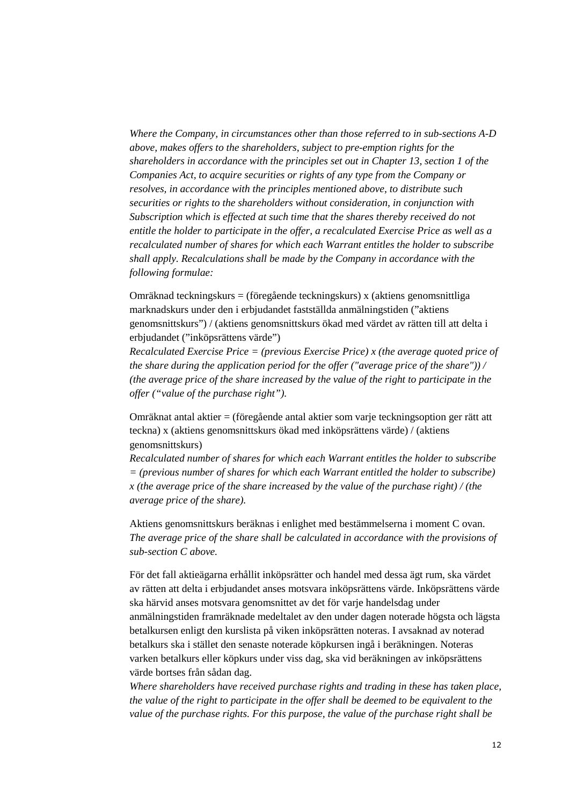*Where the Company, in circumstances other than those referred to in sub-sections A-D above, makes offers to the shareholders, subject to pre-emption rights for the shareholders in accordance with the principles set out in Chapter 13, section 1 of the Companies Act, to acquire securities or rights of any type from the Company or resolves, in accordance with the principles mentioned above, to distribute such securities or rights to the shareholders without consideration, in conjunction with Subscription which is effected at such time that the shares thereby received do not entitle the holder to participate in the offer, a recalculated Exercise Price as well as a recalculated number of shares for which each Warrant entitles the holder to subscribe shall apply. Recalculations shall be made by the Company in accordance with the following formulae:*

Omräknad teckningskurs = (föregående teckningskurs) x (aktiens genomsnittliga marknadskurs under den i erbjudandet fastställda anmälningstiden ("aktiens genomsnittskurs") / (aktiens genomsnittskurs ökad med värdet av rätten till att delta i erbjudandet ("inköpsrättens värde")

*Recalculated Exercise Price = (previous Exercise Price) x (the average quoted price of the share during the application period for the offer ("average price of the share")) / (the average price of the share increased by the value of the right to participate in the offer ("value of the purchase right").*

Omräknat antal aktier = (föregående antal aktier som varje teckningsoption ger rätt att teckna) x (aktiens genomsnittskurs ökad med inköpsrättens värde) / (aktiens genomsnittskurs)

*Recalculated number of shares for which each Warrant entitles the holder to subscribe = (previous number of shares for which each Warrant entitled the holder to subscribe) x (the average price of the share increased by the value of the purchase right) / (the average price of the share).*

Aktiens genomsnittskurs beräknas i enlighet med bestämmelserna i moment C ovan. *The average price of the share shall be calculated in accordance with the provisions of sub-section C above.*

För det fall aktieägarna erhållit inköpsrätter och handel med dessa ägt rum, ska värdet av rätten att delta i erbjudandet anses motsvara inköpsrättens värde. Inköpsrättens värde ska härvid anses motsvara genomsnittet av det för varje handelsdag under anmälningstiden framräknade medeltalet av den under dagen noterade högsta och lägsta betalkursen enligt den kurslista på viken inköpsrätten noteras. I avsaknad av noterad betalkurs ska i stället den senaste noterade köpkursen ingå i beräkningen. Noteras varken betalkurs eller köpkurs under viss dag, ska vid beräkningen av inköpsrättens värde bortses från sådan dag.

*Where shareholders have received purchase rights and trading in these has taken place, the value of the right to participate in the offer shall be deemed to be equivalent to the value of the purchase rights. For this purpose, the value of the purchase right shall be*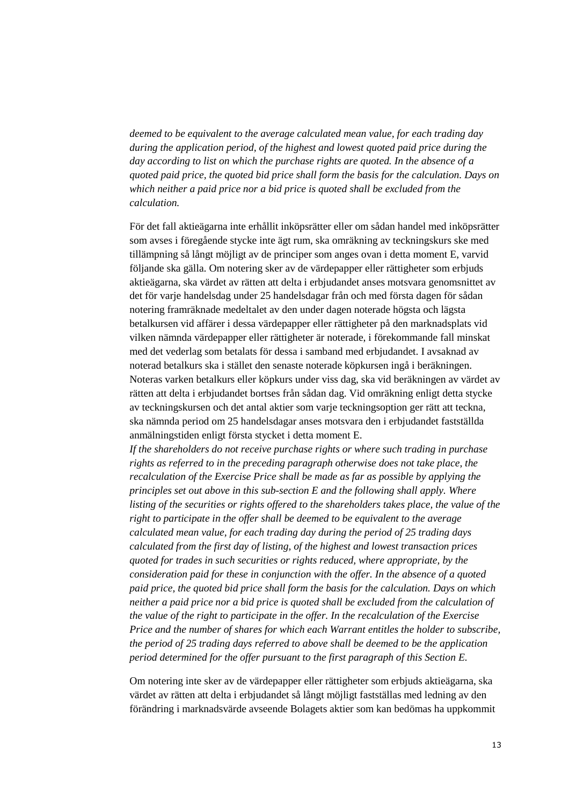*deemed to be equivalent to the average calculated mean value, for each trading day during the application period, of the highest and lowest quoted paid price during the day according to list on which the purchase rights are quoted. In the absence of a quoted paid price, the quoted bid price shall form the basis for the calculation. Days on which neither a paid price nor a bid price is quoted shall be excluded from the calculation.* 

För det fall aktieägarna inte erhållit inköpsrätter eller om sådan handel med inköpsrätter som avses i föregående stycke inte ägt rum, ska omräkning av teckningskurs ske med tillämpning så långt möjligt av de principer som anges ovan i detta moment E, varvid följande ska gälla. Om notering sker av de värdepapper eller rättigheter som erbjuds aktieägarna, ska värdet av rätten att delta i erbjudandet anses motsvara genomsnittet av det för varje handelsdag under 25 handelsdagar från och med första dagen för sådan notering framräknade medeltalet av den under dagen noterade högsta och lägsta betalkursen vid affärer i dessa värdepapper eller rättigheter på den marknadsplats vid vilken nämnda värdepapper eller rättigheter är noterade, i förekommande fall minskat med det vederlag som betalats för dessa i samband med erbjudandet. I avsaknad av noterad betalkurs ska i stället den senaste noterade köpkursen ingå i beräkningen. Noteras varken betalkurs eller köpkurs under viss dag, ska vid beräkningen av värdet av rätten att delta i erbjudandet bortses från sådan dag. Vid omräkning enligt detta stycke av teckningskursen och det antal aktier som varje teckningsoption ger rätt att teckna, ska nämnda period om 25 handelsdagar anses motsvara den i erbjudandet fastställda anmälningstiden enligt första stycket i detta moment E.

*If the shareholders do not receive purchase rights or where such trading in purchase rights as referred to in the preceding paragraph otherwise does not take place, the recalculation of the Exercise Price shall be made as far as possible by applying the principles set out above in this sub-section E and the following shall apply. Where listing of the securities or rights offered to the shareholders takes place, the value of the right to participate in the offer shall be deemed to be equivalent to the average calculated mean value, for each trading day during the period of 25 trading days calculated from the first day of listing, of the highest and lowest transaction prices quoted for trades in such securities or rights reduced, where appropriate, by the consideration paid for these in conjunction with the offer. In the absence of a quoted paid price, the quoted bid price shall form the basis for the calculation. Days on which neither a paid price nor a bid price is quoted shall be excluded from the calculation of the value of the right to participate in the offer. In the recalculation of the Exercise Price and the number of shares for which each Warrant entitles the holder to subscribe, the period of 25 trading days referred to above shall be deemed to be the application period determined for the offer pursuant to the first paragraph of this Section E.* 

Om notering inte sker av de värdepapper eller rättigheter som erbjuds aktieägarna, ska värdet av rätten att delta i erbjudandet så långt möjligt fastställas med ledning av den förändring i marknadsvärde avseende Bolagets aktier som kan bedömas ha uppkommit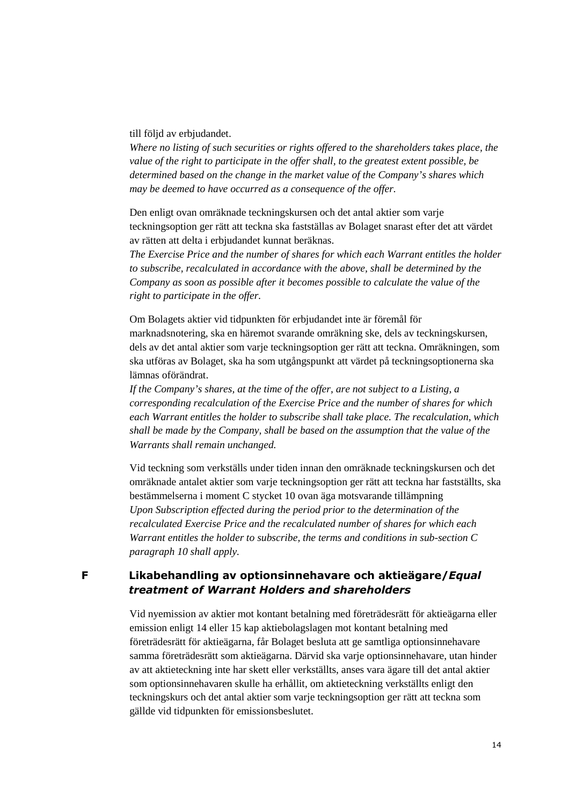till följd av erbjudandet.

*Where no listing of such securities or rights offered to the shareholders takes place, the value of the right to participate in the offer shall, to the greatest extent possible, be determined based on the change in the market value of the Company's shares which may be deemed to have occurred as a consequence of the offer.* 

Den enligt ovan omräknade teckningskursen och det antal aktier som varje teckningsoption ger rätt att teckna ska fastställas av Bolaget snarast efter det att värdet av rätten att delta i erbjudandet kunnat beräknas.

*The Exercise Price and the number of shares for which each Warrant entitles the holder to subscribe, recalculated in accordance with the above, shall be determined by the Company as soon as possible after it becomes possible to calculate the value of the right to participate in the offer.* 

Om Bolagets aktier vid tidpunkten för erbjudandet inte är föremål för marknadsnotering, ska en häremot svarande omräkning ske, dels av teckningskursen, dels av det antal aktier som varje teckningsoption ger rätt att teckna. Omräkningen, som ska utföras av Bolaget, ska ha som utgångspunkt att värdet på teckningsoptionerna ska lämnas oförändrat.

*If the Company's shares, at the time of the offer, are not subject to a Listing, a corresponding recalculation of the Exercise Price and the number of shares for which each Warrant entitles the holder to subscribe shall take place. The recalculation, which shall be made by the Company, shall be based on the assumption that the value of the Warrants shall remain unchanged.* 

Vid teckning som verkställs under tiden innan den omräknade teckningskursen och det omräknade antalet aktier som varje teckningsoption ger rätt att teckna har fastställts, ska bestämmelserna i moment C stycket 10 ovan äga motsvarande tillämpning *Upon Subscription effected during the period prior to the determination of the recalculated Exercise Price and the recalculated number of shares for which each Warrant entitles the holder to subscribe, the terms and conditions in sub-section C paragraph 10 shall apply.* 

**F Likabehandling av optionsinnehavare och aktieägare/***Equal treatment of Warrant Holders and shareholders*

> Vid nyemission av aktier mot kontant betalning med företrädesrätt för aktieägarna eller emission enligt 14 eller 15 kap aktiebolagslagen mot kontant betalning med företrädesrätt för aktieägarna, får Bolaget besluta att ge samtliga optionsinnehavare samma företrädesrätt som aktieägarna. Därvid ska varje optionsinnehavare, utan hinder av att aktieteckning inte har skett eller verkställts, anses vara ägare till det antal aktier som optionsinnehavaren skulle ha erhållit, om aktieteckning verkställts enligt den teckningskurs och det antal aktier som varje teckningsoption ger rätt att teckna som gällde vid tidpunkten för emissionsbeslutet.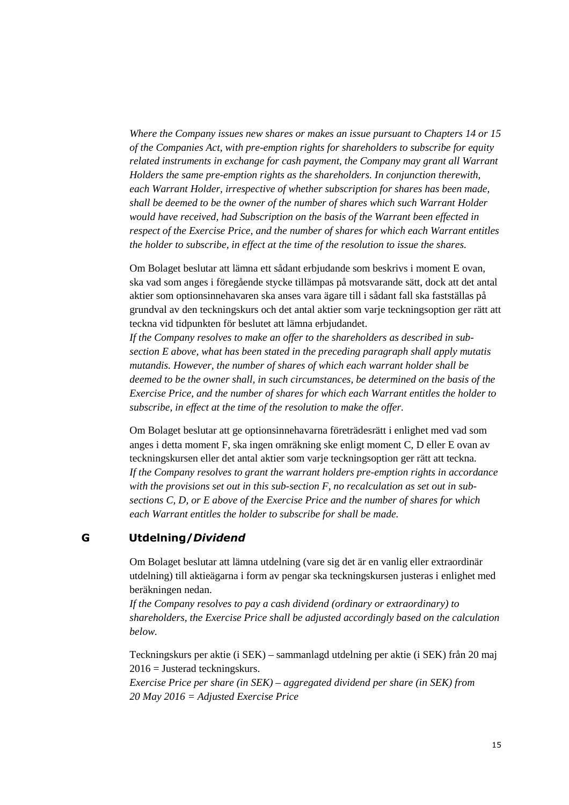*Where the Company issues new shares or makes an issue pursuant to Chapters 14 or 15 of the Companies Act, with pre-emption rights for shareholders to subscribe for equity related instruments in exchange for cash payment, the Company may grant all Warrant Holders the same pre-emption rights as the shareholders. In conjunction therewith, each Warrant Holder, irrespective of whether subscription for shares has been made, shall be deemed to be the owner of the number of shares which such Warrant Holder would have received, had Subscription on the basis of the Warrant been effected in respect of the Exercise Price, and the number of shares for which each Warrant entitles the holder to subscribe, in effect at the time of the resolution to issue the shares.* 

Om Bolaget beslutar att lämna ett sådant erbjudande som beskrivs i moment E ovan, ska vad som anges i föregående stycke tillämpas på motsvarande sätt, dock att det antal aktier som optionsinnehavaren ska anses vara ägare till i sådant fall ska fastställas på grundval av den teckningskurs och det antal aktier som varje teckningsoption ger rätt att teckna vid tidpunkten för beslutet att lämna erbjudandet.

*If the Company resolves to make an offer to the shareholders as described in subsection E above, what has been stated in the preceding paragraph shall apply mutatis mutandis. However, the number of shares of which each warrant holder shall be deemed to be the owner shall, in such circumstances, be determined on the basis of the Exercise Price, and the number of shares for which each Warrant entitles the holder to subscribe, in effect at the time of the resolution to make the offer.* 

Om Bolaget beslutar att ge optionsinnehavarna företrädesrätt i enlighet med vad som anges i detta moment F, ska ingen omräkning ske enligt moment C, D eller E ovan av teckningskursen eller det antal aktier som varje teckningsoption ger rätt att teckna. *If the Company resolves to grant the warrant holders pre-emption rights in accordance with the provisions set out in this sub-section F, no recalculation as set out in subsections C, D, or E above of the Exercise Price and the number of shares for which each Warrant entitles the holder to subscribe for shall be made.* 

#### **G Utdelning/***Dividend*

Om Bolaget beslutar att lämna utdelning (vare sig det är en vanlig eller extraordinär utdelning) till aktieägarna i form av pengar ska teckningskursen justeras i enlighet med beräkningen nedan.

*If the Company resolves to pay a cash dividend (ordinary or extraordinary) to shareholders, the Exercise Price shall be adjusted accordingly based on the calculation below.* 

Teckningskurs per aktie (i SEK) – sammanlagd utdelning per aktie (i SEK) från 20 maj 2016 = Justerad teckningskurs.

*Exercise Price per share (in SEK) – aggregated dividend per share (in SEK) from 20 May 2016 = Adjusted Exercise Price*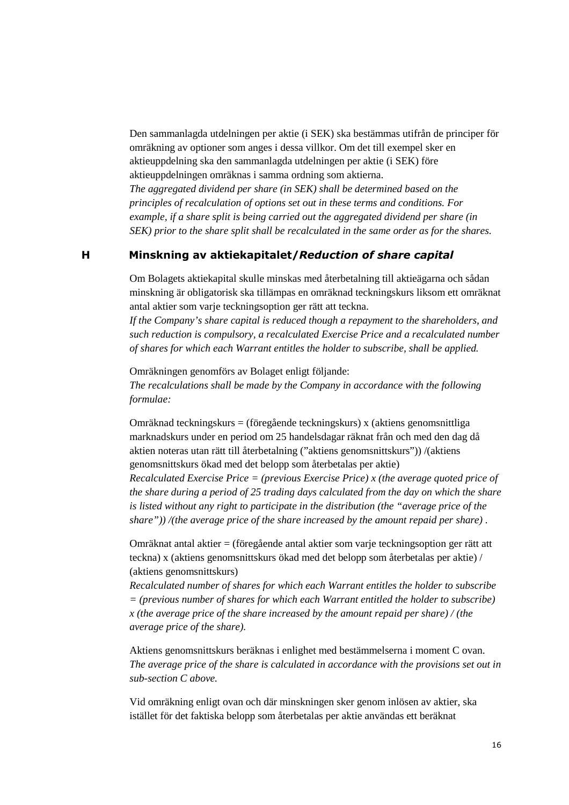Den sammanlagda utdelningen per aktie (i SEK) ska bestämmas utifrån de principer för omräkning av optioner som anges i dessa villkor. Om det till exempel sker en aktieuppdelning ska den sammanlagda utdelningen per aktie (i SEK) före aktieuppdelningen omräknas i samma ordning som aktierna.

*The aggregated dividend per share (in SEK) shall be determined based on the principles of recalculation of options set out in these terms and conditions. For example, if a share split is being carried out the aggregated dividend per share (in SEK) prior to the share split shall be recalculated in the same order as for the shares.*

#### **H Minskning av aktiekapitalet/***Reduction of share capital*

Om Bolagets aktiekapital skulle minskas med återbetalning till aktieägarna och sådan minskning är obligatorisk ska tillämpas en omräknad teckningskurs liksom ett omräknat antal aktier som varje teckningsoption ger rätt att teckna.

*If the Company's share capital is reduced though a repayment to the shareholders, and such reduction is compulsory, a recalculated Exercise Price and a recalculated number of shares for which each Warrant entitles the holder to subscribe, shall be applied.* 

Omräkningen genomförs av Bolaget enligt följande: *The recalculations shall be made by the Company in accordance with the following formulae:* 

Omräknad teckningskurs = (föregående teckningskurs) x (aktiens genomsnittliga marknadskurs under en period om 25 handelsdagar räknat från och med den dag då aktien noteras utan rätt till återbetalning ("aktiens genomsnittskurs")) /(aktiens genomsnittskurs ökad med det belopp som återbetalas per aktie) *Recalculated Exercise Price = (previous Exercise Price) x (the average quoted price of the share during a period of 25 trading days calculated from the day on which the share is listed without any right to participate in the distribution (the "average price of the* 

Omräknat antal aktier = (föregående antal aktier som varje teckningsoption ger rätt att teckna) x (aktiens genomsnittskurs ökad med det belopp som återbetalas per aktie) / (aktiens genomsnittskurs)

*share")) /(the average price of the share increased by the amount repaid per share) .* 

*Recalculated number of shares for which each Warrant entitles the holder to subscribe = (previous number of shares for which each Warrant entitled the holder to subscribe) x (the average price of the share increased by the amount repaid per share) / (the average price of the share).* 

Aktiens genomsnittskurs beräknas i enlighet med bestämmelserna i moment C ovan. *The average price of the share is calculated in accordance with the provisions set out in sub-section C above.* 

Vid omräkning enligt ovan och där minskningen sker genom inlösen av aktier, ska istället för det faktiska belopp som återbetalas per aktie användas ett beräknat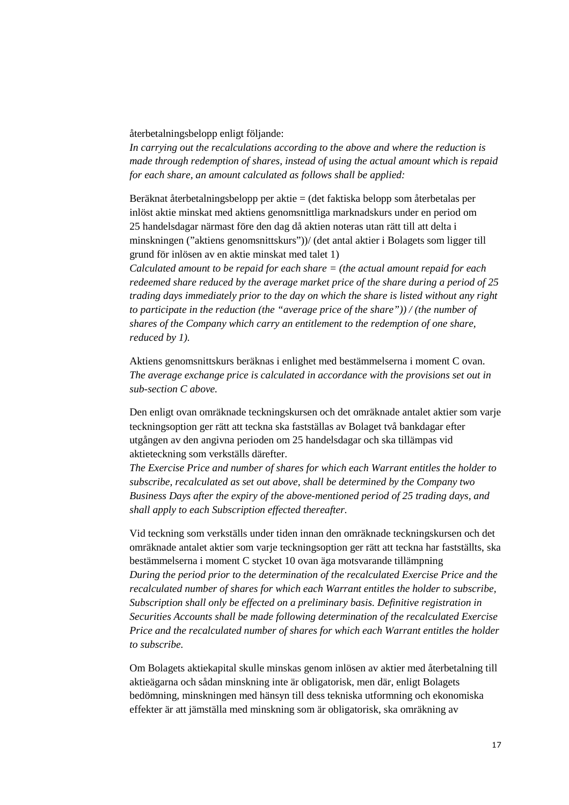återbetalningsbelopp enligt följande:

*In carrying out the recalculations according to the above and where the reduction is made through redemption of shares, instead of using the actual amount which is repaid for each share, an amount calculated as follows shall be applied:* 

Beräknat återbetalningsbelopp per aktie = (det faktiska belopp som återbetalas per inlöst aktie minskat med aktiens genomsnittliga marknadskurs under en period om 25 handelsdagar närmast före den dag då aktien noteras utan rätt till att delta i minskningen ("aktiens genomsnittskurs"))/ (det antal aktier i Bolagets som ligger till grund för inlösen av en aktie minskat med talet 1)

*Calculated amount to be repaid for each share = (the actual amount repaid for each redeemed share reduced by the average market price of the share during a period of 25 trading days immediately prior to the day on which the share is listed without any right to participate in the reduction (the "average price of the share")) / (the number of shares of the Company which carry an entitlement to the redemption of one share, reduced by 1).* 

Aktiens genomsnittskurs beräknas i enlighet med bestämmelserna i moment C ovan. *The average exchange price is calculated in accordance with the provisions set out in sub-section C above.* 

Den enligt ovan omräknade teckningskursen och det omräknade antalet aktier som varje teckningsoption ger rätt att teckna ska fastställas av Bolaget två bankdagar efter utgången av den angivna perioden om 25 handelsdagar och ska tillämpas vid aktieteckning som verkställs därefter.

*The Exercise Price and number of shares for which each Warrant entitles the holder to subscribe, recalculated as set out above, shall be determined by the Company two Business Days after the expiry of the above-mentioned period of 25 trading days, and shall apply to each Subscription effected thereafter.* 

Vid teckning som verkställs under tiden innan den omräknade teckningskursen och det omräknade antalet aktier som varje teckningsoption ger rätt att teckna har fastställts, ska bestämmelserna i moment C stycket 10 ovan äga motsvarande tillämpning *During the period prior to the determination of the recalculated Exercise Price and the recalculated number of shares for which each Warrant entitles the holder to subscribe, Subscription shall only be effected on a preliminary basis. Definitive registration in Securities Accounts shall be made following determination of the recalculated Exercise Price and the recalculated number of shares for which each Warrant entitles the holder to subscribe.* 

Om Bolagets aktiekapital skulle minskas genom inlösen av aktier med återbetalning till aktieägarna och sådan minskning inte är obligatorisk, men där, enligt Bolagets bedömning, minskningen med hänsyn till dess tekniska utformning och ekonomiska effekter är att jämställa med minskning som är obligatorisk, ska omräkning av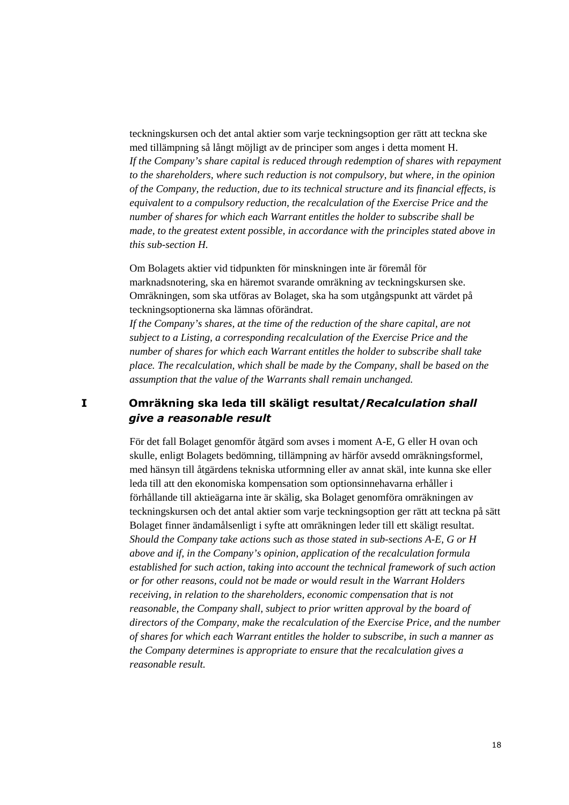teckningskursen och det antal aktier som varje teckningsoption ger rätt att teckna ske med tillämpning så långt möjligt av de principer som anges i detta moment H. *If the Company's share capital is reduced through redemption of shares with repayment to the shareholders, where such reduction is not compulsory, but where, in the opinion of the Company, the reduction, due to its technical structure and its financial effects, is equivalent to a compulsory reduction, the recalculation of the Exercise Price and the number of shares for which each Warrant entitles the holder to subscribe shall be made, to the greatest extent possible, in accordance with the principles stated above in this sub-section H.* 

Om Bolagets aktier vid tidpunkten för minskningen inte är föremål för marknadsnotering, ska en häremot svarande omräkning av teckningskursen ske. Omräkningen, som ska utföras av Bolaget, ska ha som utgångspunkt att värdet på teckningsoptionerna ska lämnas oförändrat.

*If the Company's shares, at the time of the reduction of the share capital, are not subject to a Listing, a corresponding recalculation of the Exercise Price and the number of shares for which each Warrant entitles the holder to subscribe shall take place. The recalculation, which shall be made by the Company, shall be based on the assumption that the value of the Warrants shall remain unchanged.* 

### **I Omräkning ska leda till skäligt resultat/***Recalculation shall give a reasonable result*

För det fall Bolaget genomför åtgärd som avses i moment A-E, G eller H ovan och skulle, enligt Bolagets bedömning, tillämpning av härför avsedd omräkningsformel, med hänsyn till åtgärdens tekniska utformning eller av annat skäl, inte kunna ske eller leda till att den ekonomiska kompensation som optionsinnehavarna erhåller i förhållande till aktieägarna inte är skälig, ska Bolaget genomföra omräkningen av teckningskursen och det antal aktier som varje teckningsoption ger rätt att teckna på sätt Bolaget finner ändamålsenligt i syfte att omräkningen leder till ett skäligt resultat. *Should the Company take actions such as those stated in sub-sections A-E, G or H above and if, in the Company's opinion, application of the recalculation formula established for such action, taking into account the technical framework of such action or for other reasons, could not be made or would result in the Warrant Holders receiving, in relation to the shareholders, economic compensation that is not reasonable, the Company shall, subject to prior written approval by the board of directors of the Company, make the recalculation of the Exercise Price, and the number of shares for which each Warrant entitles the holder to subscribe, in such a manner as the Company determines is appropriate to ensure that the recalculation gives a reasonable result.*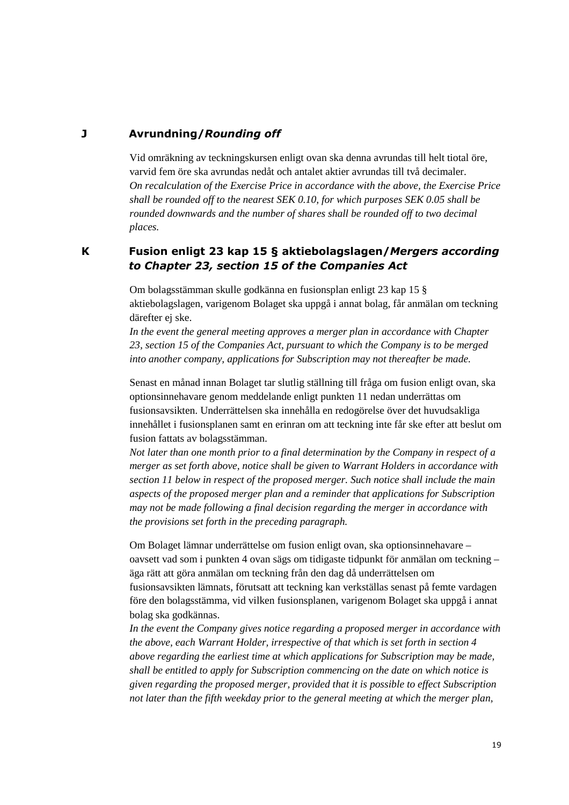#### **J Avrundning/***Rounding off*

Vid omräkning av teckningskursen enligt ovan ska denna avrundas till helt tiotal öre, varvid fem öre ska avrundas nedåt och antalet aktier avrundas till två decimaler. *On recalculation of the Exercise Price in accordance with the above, the Exercise Price shall be rounded off to the nearest SEK 0.10, for which purposes SEK 0.05 shall be rounded downwards and the number of shares shall be rounded off to two decimal places.* 

### **K Fusion enligt 23 kap 15 § aktiebolagslagen/***Mergers according to Chapter 23, section 15 of the Companies Act*

Om bolagsstämman skulle godkänna en fusionsplan enligt 23 kap 15 § aktiebolagslagen, varigenom Bolaget ska uppgå i annat bolag, får anmälan om teckning därefter ej ske.

*In the event the general meeting approves a merger plan in accordance with Chapter 23, section 15 of the Companies Act, pursuant to which the Company is to be merged into another company, applications for Subscription may not thereafter be made.* 

Senast en månad innan Bolaget tar slutlig ställning till fråga om fusion enligt ovan, ska optionsinnehavare genom meddelande enligt punkten 11 nedan underrättas om fusionsavsikten. Underrättelsen ska innehålla en redogörelse över det huvudsakliga innehållet i fusionsplanen samt en erinran om att teckning inte får ske efter att beslut om fusion fattats av bolagsstämman.

*Not later than one month prior to a final determination by the Company in respect of a merger as set forth above, notice shall be given to Warrant Holders in accordance with section 11 below in respect of the proposed merger. Such notice shall include the main aspects of the proposed merger plan and a reminder that applications for Subscription may not be made following a final decision regarding the merger in accordance with the provisions set forth in the preceding paragraph.* 

Om Bolaget lämnar underrättelse om fusion enligt ovan, ska optionsinnehavare – oavsett vad som i punkten 4 ovan sägs om tidigaste tidpunkt för anmälan om teckning – äga rätt att göra anmälan om teckning från den dag då underrättelsen om fusionsavsikten lämnats, förutsatt att teckning kan verkställas senast på femte vardagen före den bolagsstämma, vid vilken fusionsplanen, varigenom Bolaget ska uppgå i annat bolag ska godkännas.

*In the event the Company gives notice regarding a proposed merger in accordance with the above, each Warrant Holder, irrespective of that which is set forth in section 4 above regarding the earliest time at which applications for Subscription may be made, shall be entitled to apply for Subscription commencing on the date on which notice is given regarding the proposed merger, provided that it is possible to effect Subscription not later than the fifth weekday prior to the general meeting at which the merger plan,*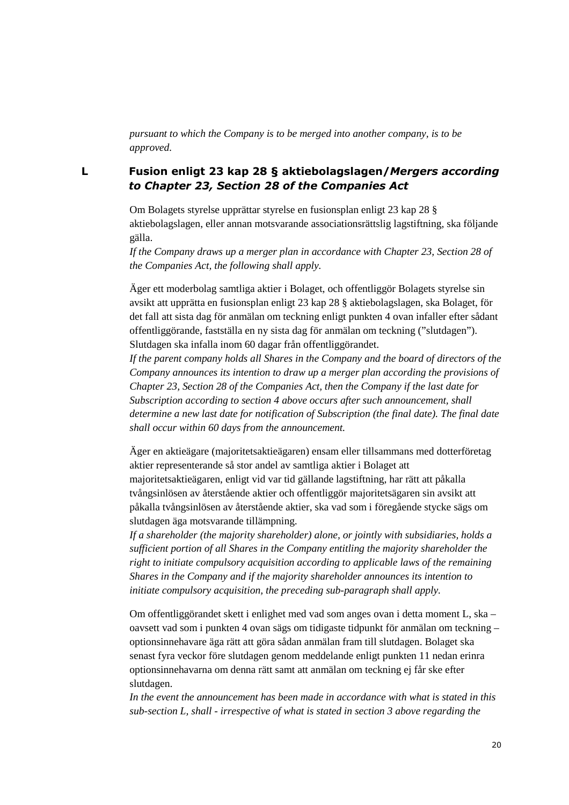*pursuant to which the Company is to be merged into another company, is to be approved.* 

### **L Fusion enligt 23 kap 28 § aktiebolagslagen/***Mergers according to Chapter 23, Section 28 of the Companies Act*

Om Bolagets styrelse upprättar styrelse en fusionsplan enligt 23 kap 28 § aktiebolagslagen, eller annan motsvarande associationsrättslig lagstiftning, ska följande gälla.

*If the Company draws up a merger plan in accordance with Chapter 23, Section 28 of the Companies Act, the following shall apply.* 

Äger ett moderbolag samtliga aktier i Bolaget, och offentliggör Bolagets styrelse sin avsikt att upprätta en fusionsplan enligt 23 kap 28 § aktiebolagslagen, ska Bolaget, för det fall att sista dag för anmälan om teckning enligt punkten 4 ovan infaller efter sådant offentliggörande, fastställa en ny sista dag för anmälan om teckning ("slutdagen"). Slutdagen ska infalla inom 60 dagar från offentliggörandet.

*If the parent company holds all Shares in the Company and the board of directors of the Company announces its intention to draw up a merger plan according the provisions of Chapter 23, Section 28 of the Companies Act, then the Company if the last date for Subscription according to section 4 above occurs after such announcement, shall determine a new last date for notification of Subscription (the final date). The final date shall occur within 60 days from the announcement.* 

Äger en aktieägare (majoritetsaktieägaren) ensam eller tillsammans med dotterföretag aktier representerande så stor andel av samtliga aktier i Bolaget att majoritetsaktieägaren, enligt vid var tid gällande lagstiftning, har rätt att påkalla tvångsinlösen av återstående aktier och offentliggör majoritetsägaren sin avsikt att påkalla tvångsinlösen av återstående aktier, ska vad som i föregående stycke sägs om slutdagen äga motsvarande tillämpning.

*If a shareholder (the majority shareholder) alone, or jointly with subsidiaries, holds a sufficient portion of all Shares in the Company entitling the majority shareholder the right to initiate compulsory acquisition according to applicable laws of the remaining Shares in the Company and if the majority shareholder announces its intention to initiate compulsory acquisition, the preceding sub-paragraph shall apply.* 

Om offentliggörandet skett i enlighet med vad som anges ovan i detta moment L, ska – oavsett vad som i punkten 4 ovan sägs om tidigaste tidpunkt för anmälan om teckning – optionsinnehavare äga rätt att göra sådan anmälan fram till slutdagen. Bolaget ska senast fyra veckor före slutdagen genom meddelande enligt punkten 11 nedan erinra optionsinnehavarna om denna rätt samt att anmälan om teckning ej får ske efter slutdagen.

*In the event the announcement has been made in accordance with what is stated in this sub-section L, shall - irrespective of what is stated in section 3 above regarding the*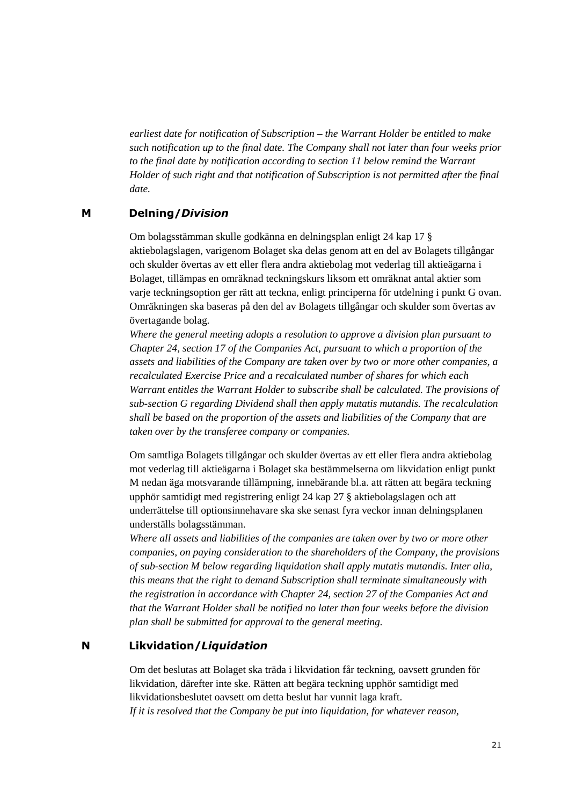*earliest date for notification of Subscription – the Warrant Holder be entitled to make such notification up to the final date. The Company shall not later than four weeks prior to the final date by notification according to section 11 below remind the Warrant Holder of such right and that notification of Subscription is not permitted after the final date.* 

#### **M Delning/***Division*

Om bolagsstämman skulle godkänna en delningsplan enligt 24 kap 17 § aktiebolagslagen, varigenom Bolaget ska delas genom att en del av Bolagets tillgångar och skulder övertas av ett eller flera andra aktiebolag mot vederlag till aktieägarna i Bolaget, tillämpas en omräknad teckningskurs liksom ett omräknat antal aktier som varje teckningsoption ger rätt att teckna, enligt principerna för utdelning i punkt G ovan. Omräkningen ska baseras på den del av Bolagets tillgångar och skulder som övertas av övertagande bolag.

*Where the general meeting adopts a resolution to approve a division plan pursuant to Chapter 24, section 17 of the Companies Act, pursuant to which a proportion of the assets and liabilities of the Company are taken over by two or more other companies, a recalculated Exercise Price and a recalculated number of shares for which each Warrant entitles the Warrant Holder to subscribe shall be calculated. The provisions of sub-section G regarding Dividend shall then apply mutatis mutandis. The recalculation shall be based on the proportion of the assets and liabilities of the Company that are taken over by the transferee company or companies.*

Om samtliga Bolagets tillgångar och skulder övertas av ett eller flera andra aktiebolag mot vederlag till aktieägarna i Bolaget ska bestämmelserna om likvidation enligt punkt M nedan äga motsvarande tillämpning, innebärande bl.a. att rätten att begära teckning upphör samtidigt med registrering enligt 24 kap 27 § aktiebolagslagen och att underrättelse till optionsinnehavare ska ske senast fyra veckor innan delningsplanen underställs bolagsstämman.

*Where all assets and liabilities of the companies are taken over by two or more other companies, on paying consideration to the shareholders of the Company, the provisions of sub-section M below regarding liquidation shall apply mutatis mutandis. Inter alia, this means that the right to demand Subscription shall terminate simultaneously with the registration in accordance with Chapter 24, section 27 of the Companies Act and that the Warrant Holder shall be notified no later than four weeks before the division plan shall be submitted for approval to the general meeting.* 

### **N Likvidation/***Liquidation*

Om det beslutas att Bolaget ska träda i likvidation får teckning, oavsett grunden för likvidation, därefter inte ske. Rätten att begära teckning upphör samtidigt med likvidationsbeslutet oavsett om detta beslut har vunnit laga kraft. *If it is resolved that the Company be put into liquidation, for whatever reason,*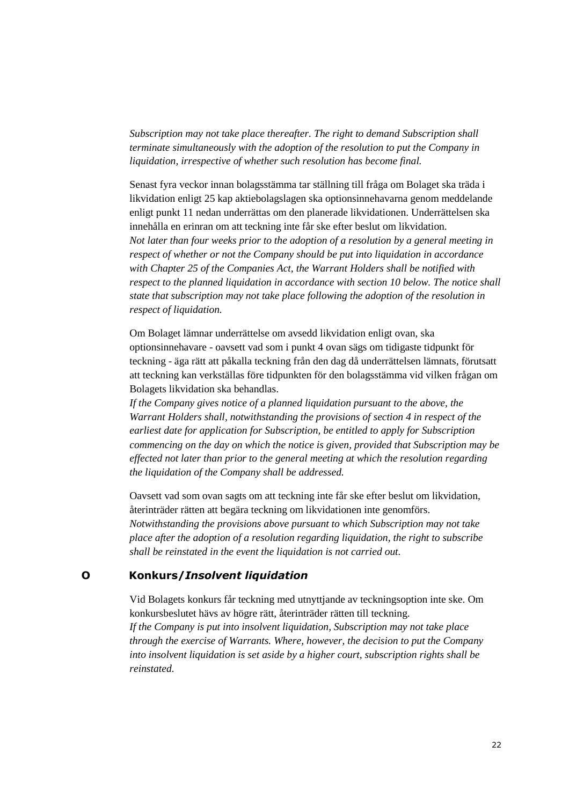*Subscription may not take place thereafter. The right to demand Subscription shall terminate simultaneously with the adoption of the resolution to put the Company in liquidation, irrespective of whether such resolution has become final.* 

Senast fyra veckor innan bolagsstämma tar ställning till fråga om Bolaget ska träda i likvidation enligt 25 kap aktiebolagslagen ska optionsinnehavarna genom meddelande enligt punkt 11 nedan underrättas om den planerade likvidationen. Underrättelsen ska innehålla en erinran om att teckning inte får ske efter beslut om likvidation. *Not later than four weeks prior to the adoption of a resolution by a general meeting in respect of whether or not the Company should be put into liquidation in accordance with Chapter 25 of the Companies Act, the Warrant Holders shall be notified with respect to the planned liquidation in accordance with section 10 below. The notice shall state that subscription may not take place following the adoption of the resolution in respect of liquidation.* 

Om Bolaget lämnar underrättelse om avsedd likvidation enligt ovan, ska optionsinnehavare - oavsett vad som i punkt 4 ovan sägs om tidigaste tidpunkt för teckning - äga rätt att påkalla teckning från den dag då underrättelsen lämnats, förutsatt att teckning kan verkställas före tidpunkten för den bolagsstämma vid vilken frågan om Bolagets likvidation ska behandlas.

*If the Company gives notice of a planned liquidation pursuant to the above, the Warrant Holders shall, notwithstanding the provisions of section 4 in respect of the earliest date for application for Subscription, be entitled to apply for Subscription commencing on the day on which the notice is given, provided that Subscription may be effected not later than prior to the general meeting at which the resolution regarding the liquidation of the Company shall be addressed.* 

Oavsett vad som ovan sagts om att teckning inte får ske efter beslut om likvidation, återinträder rätten att begära teckning om likvidationen inte genomförs. *Notwithstanding the provisions above pursuant to which Subscription may not take place after the adoption of a resolution regarding liquidation, the right to subscribe shall be reinstated in the event the liquidation is not carried out.* 

#### **O Konkurs/***Insolvent liquidation*

Vid Bolagets konkurs får teckning med utnyttjande av teckningsoption inte ske. Om konkursbeslutet hävs av högre rätt, återinträder rätten till teckning.

*If the Company is put into insolvent liquidation, Subscription may not take place through the exercise of Warrants. Where, however, the decision to put the Company into insolvent liquidation is set aside by a higher court, subscription rights shall be reinstated.*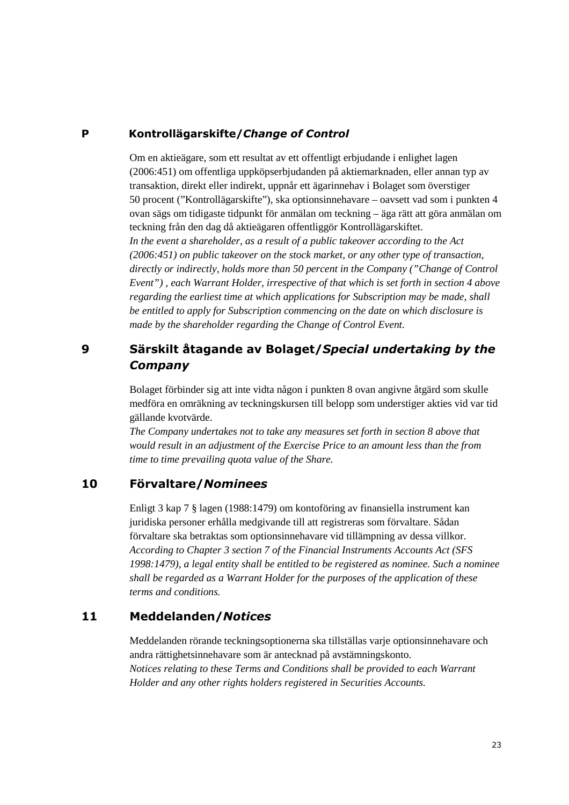### **P Kontrollägarskifte/***Change of Control*

Om en aktieägare, som ett resultat av ett offentligt erbjudande i enlighet lagen (2006:451) om offentliga uppköpserbjudanden på aktiemarknaden, eller annan typ av transaktion, direkt eller indirekt, uppnår ett ägarinnehav i Bolaget som överstiger 50 procent ("Kontrollägarskifte"), ska optionsinnehavare – oavsett vad som i punkten 4 ovan sägs om tidigaste tidpunkt för anmälan om teckning – äga rätt att göra anmälan om teckning från den dag då aktieägaren offentliggör Kontrollägarskiftet. *In the event a shareholder, as a result of a public takeover according to the Act (2006:451) on public takeover on the stock market, or any other type of transaction, directly or indirectly, holds more than 50 percent in the Company ("Change of Control Event") , each Warrant Holder, irrespective of that which is set forth in section 4 above regarding the earliest time at which applications for Subscription may be made, shall be entitled to apply for Subscription commencing on the date on which disclosure is made by the shareholder regarding the Change of Control Event.* 

## **9 Särskilt åtagande av Bolaget/***Special undertaking by the Company*

Bolaget förbinder sig att inte vidta någon i punkten 8 ovan angivne åtgärd som skulle medföra en omräkning av teckningskursen till belopp som understiger akties vid var tid gällande kvotvärde.

*The Company undertakes not to take any measures set forth in section 8 above that would result in an adjustment of the Exercise Price to an amount less than the from time to time prevailing quota value of the Share.* 

## **10 Förvaltare/***Nominees*

Enligt 3 kap 7 § lagen (1988:1479) om kontoföring av finansiella instrument kan juridiska personer erhålla medgivande till att registreras som förvaltare. Sådan förvaltare ska betraktas som optionsinnehavare vid tillämpning av dessa villkor. *According to Chapter 3 section 7 of the Financial Instruments Accounts Act (SFS 1998:1479), a legal entity shall be entitled to be registered as nominee. Such a nominee shall be regarded as a Warrant Holder for the purposes of the application of these terms and conditions.* 

### **11 Meddelanden/***Notices*

Meddelanden rörande teckningsoptionerna ska tillställas varje optionsinnehavare och andra rättighetsinnehavare som är antecknad på avstämningskonto. *Notices relating to these Terms and Conditions shall be provided to each Warrant Holder and any other rights holders registered in Securities Accounts.*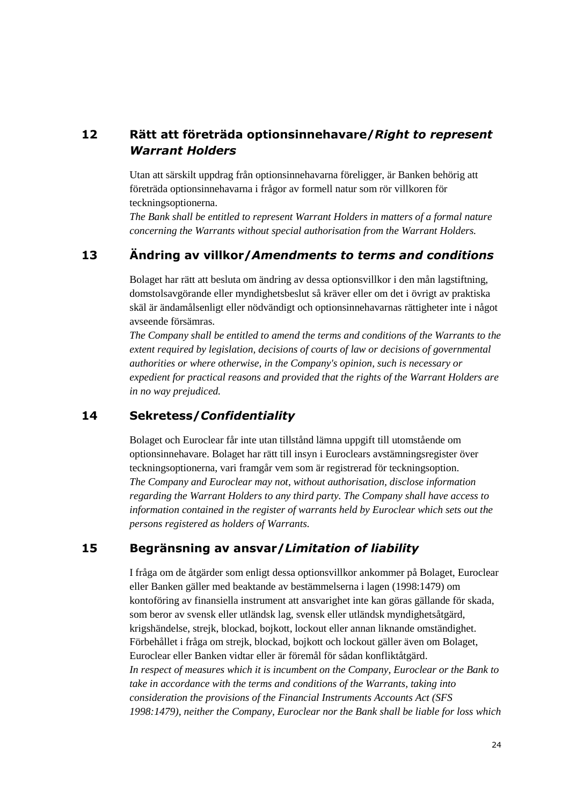## **12 Rätt att företräda optionsinnehavare/***Right to represent Warrant Holders*

Utan att särskilt uppdrag från optionsinnehavarna föreligger, är Banken behörig att företräda optionsinnehavarna i frågor av formell natur som rör villkoren för teckningsoptionerna.

*The Bank shall be entitled to represent Warrant Holders in matters of a formal nature concerning the Warrants without special authorisation from the Warrant Holders.* 

## **13 Ändring av villkor/***Amendments to terms and conditions*

Bolaget har rätt att besluta om ändring av dessa optionsvillkor i den mån lagstiftning, domstolsavgörande eller myndighetsbeslut så kräver eller om det i övrigt av praktiska skäl är ändamålsenligt eller nödvändigt och optionsinnehavarnas rättigheter inte i något avseende försämras.

*The Company shall be entitled to amend the terms and conditions of the Warrants to the extent required by legislation, decisions of courts of law or decisions of governmental authorities or where otherwise, in the Company's opinion, such is necessary or expedient for practical reasons and provided that the rights of the Warrant Holders are in no way prejudiced.* 

### **14 Sekretess/***Confidentiality*

Bolaget och Euroclear får inte utan tillstånd lämna uppgift till utomstående om optionsinnehavare. Bolaget har rätt till insyn i Euroclears avstämningsregister över teckningsoptionerna, vari framgår vem som är registrerad för teckningsoption. *The Company and Euroclear may not, without authorisation, disclose information regarding the Warrant Holders to any third party. The Company shall have access to information contained in the register of warrants held by Euroclear which sets out the persons registered as holders of Warrants.* 

## **15 Begränsning av ansvar/***Limitation of liability*

I fråga om de åtgärder som enligt dessa optionsvillkor ankommer på Bolaget, Euroclear eller Banken gäller med beaktande av bestämmelserna i lagen (1998:1479) om kontoföring av finansiella instrument att ansvarighet inte kan göras gällande för skada, som beror av svensk eller utländsk lag, svensk eller utländsk myndighetsåtgärd, krigshändelse, strejk, blockad, bojkott, lockout eller annan liknande omständighet. Förbehållet i fråga om strejk, blockad, bojkott och lockout gäller även om Bolaget, Euroclear eller Banken vidtar eller är föremål för sådan konfliktåtgärd. *In respect of measures which it is incumbent on the Company, Euroclear or the Bank to take in accordance with the terms and conditions of the Warrants, taking into consideration the provisions of the Financial Instruments Accounts Act (SFS 1998:1479), neither the Company, Euroclear nor the Bank shall be liable for loss which*